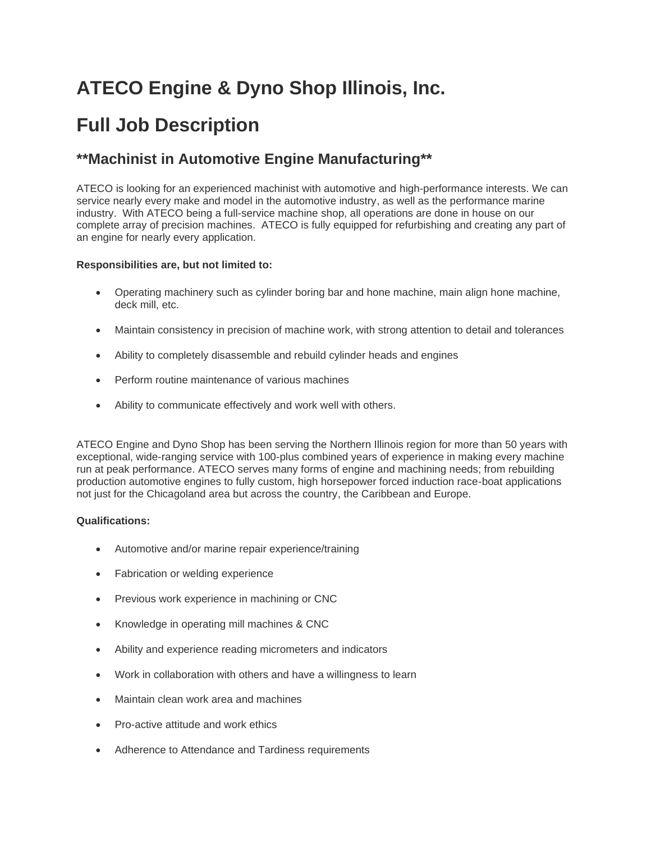# **ATECO Engine & Dyno Shop Illinois, Inc.**

## **Full Job Description**

### **\*\*Machinist in Automotive Engine Manufacturing\*\***

ATECO is looking for an experienced machinist with automotive and high-performance interests. We can service nearly every make and model in the automotive industry, as well as the performance marine industry. With ATECO being a full-service machine shop, all operations are done in house on our complete array of precision machines. ATECO is fully equipped for refurbishing and creating any part of an engine for nearly every application.

#### **Responsibilities are, but not limited to:**

- Operating machinery such as cylinder boring bar and hone machine, main align hone machine, deck mill, etc.
- Maintain consistency in precision of machine work, with strong attention to detail and tolerances
- Ability to completely disassemble and rebuild cylinder heads and engines
- Perform routine maintenance of various machines
- Ability to communicate effectively and work well with others.

ATECO Engine and Dyno Shop has been serving the Northern Illinois region for more than 50 years with exceptional, wide-ranging service with 100-plus combined years of experience in making every machine run at peak performance. ATECO serves many forms of engine and machining needs; from rebuilding production automotive engines to fully custom, high horsepower forced induction race-boat applications not just for the Chicagoland area but across the country, the Caribbean and Europe.

#### **Qualifications:**

- Automotive and/or marine repair experience/training
- Fabrication or welding experience
- Previous work experience in machining or CNC
- Knowledge in operating mill machines & CNC
- Ability and experience reading micrometers and indicators
- Work in collaboration with others and have a willingness to learn
- Maintain clean work area and machines
- Pro-active attitude and work ethics
- Adherence to Attendance and Tardiness requirements